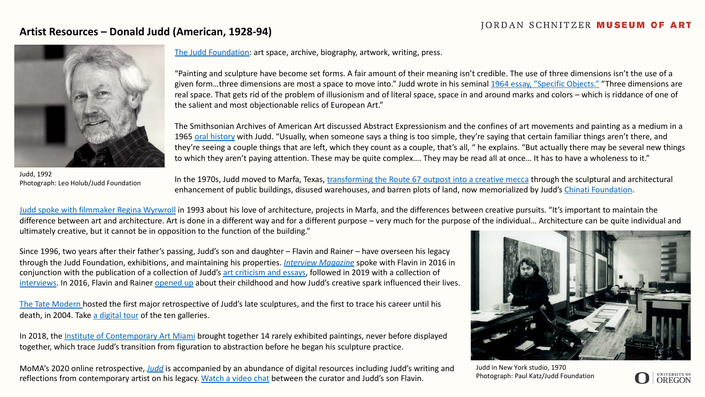## **Artist Resources – Donald Judd (American, 1928-94)**



Judd, 1992 Photograph: Leo Holub/Judd Foundation

[The Judd Foundation:](https://juddfoundation.org/) art space, archive, biography, artwork, writing, press.

"Painting and sculpture have become set forms. A fair amount of their meaning isn't credible. The use of three dimensions isn't the use of a given form...three dimensions are most a space to move into." Judd wrote in his seminal [1964 essay, "Specific Objects."](http://s3.amazonaws.com/juddfoundation.org/wp-content/uploads/2016/04/21164926/Specific_Objects_1964.pdf) "Three dimensions are real space. That gets rid of the problem of illusionism and of literal space, space in and around marks and colors – which is riddance of one of the salient and most objectionable relics of European Art."

The Smithsonian Archives of American Art discussed Abstract Expressionism and the confines of art movements and painting as a medium in a 1965 [oral history](https://www.aaa.si.edu/collections/interviews/oral-history-interview-donald-judd-11621) with Judd. "Usually, when someone says a thing is too simple, they're saying that certain familiar things aren't there, and they're seeing a couple things that are left, which they count as a couple, that's all, " he explains. "But actually there may be several new things to which they aren't paying attention. These may be quite complex…. They may be read all at once… It has to have a wholeness to it."

In the 1970s, Judd moved to Marfa, Texas, [transforming the Route 67 outpost into a creative mecca](https://news.artnet.com/art-world/kyle-chayka-minimalism-excerpt-1744791) through the sculptural and architectural enhancement of public buildings, disused warehouses, and barren plots of land, now memorialized by Judd's Chinati [Foundation.](https://chinati.org/)

[Judd spoke with filmmaker Regina Wyrwroll](https://chinati.org/related_reading/donald-judd-in-conversation-with-regina-wyrwoll/) in 1993 about his love of architecture, projects in Marfa, and the differences between creative pursuits. "It's important to maintain the difference between art and architecture. Art is done in a different way and for a different purpose – very much for the purpose of the individual... Architecture can be quite individual and ultimately creative, but it cannot be in opposition to the function of the building."

Since 1996, two years after their father's passing, Judd's son and daughter – Flavin and Rainer – have overseen his legacy through the Judd Foundation, exhibitions, and maintaining his properties. *[Interview Magazine](https://www.interviewmagazine.com/art/flavin-judd)* spoke with Flavin in 2016 in conjunction with the publication of a collection of Judd's [art criticism and essays,](https://davidzwirnerbooks.com/product/donald-judd-writings) followed in 2019 with a collection of [interviews.](http://davidzwirnerbooks.com/product/donald-judd-interviews) In 2016, Flavin and Rainer [opened up](https://www.curbed.com/2016/3/1/11131334/donald-judd-home-soho) about their childhood and how Judd's creative spark influenced their lives.

[The Tate Modern h](https://www.tate.org.uk/whats-on/tate-modern/exhibition/donald-judd)osted the first major retrospective of Judd's late sculptures, and the first to trace his career until his death, in 2004. Take [a digital tour](https://www.tate.org.uk/whats-on/tate-modern/exhibition/donald-judd/donald-judd-exhibition-guide) of the ten galleries.

In 2018, the [Institute of Contemporary Art Miami](https://icamiami.org/exhibition/donald-judd/) brought together 14 rarely exhibited paintings, never before displayed together, which trace Judd's transition from figuration to abstraction before he began his sculpture practice.

MoMA's 2020 online retrospective, *[Judd](https://www.moma.org/calendar/exhibitions/5076)* is accompanied by an abundance of digital resources including Judd's writing and reflections from contemporary artist on his legacy. [Watch a video chat](https://youtu.be/0USLJEdXUTo) between the curator and Judd's son Flavin.



Judd in New York studio, 1970 Photograph: Paul Katz/Judd Foundation